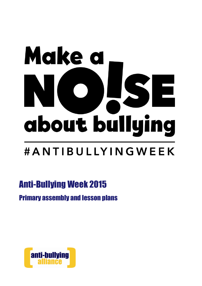# Make a E about bullying #ANTIBULLYINGWEEK

# Anti-Bullying Week 2015

## Primary assembly and lesson plans

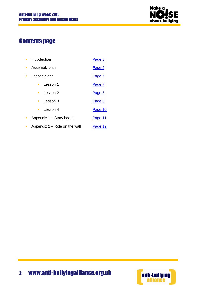

## Contents page

| ш              | Introduction                  | Page 3  |
|----------------|-------------------------------|---------|
| п              | Assembly plan                 | Page 4  |
| $\blacksquare$ | Lesson plans                  | Page 7  |
|                | Lesson 1<br>п                 | Page 7  |
|                | Lesson 2<br>$\blacksquare$    | Page 8  |
|                | Lesson 3<br>$\blacksquare$    | Page 8  |
|                | Lesson 4<br>$\blacksquare$    | Page 10 |
| o.             | Appendix 1 - Story board      | Page 11 |
| $\blacksquare$ | Appendix 2 – Role on the wall | Page 12 |

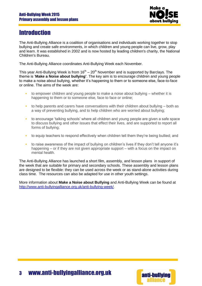

## <span id="page-2-0"></span>**Introduction**

The Anti-Bullying Alliance is a coalition of organisations and individuals working together to stop bullying and create safe environments, in which children and young people can live, grow, play and learn. It was established in 2002 and is now hosted by leading children's charity, the [National](http://www.ncb.org.uk/)  [Children's Bureau.](http://www.ncb.org.uk/)

The Anti-Bullying Alliance coordinates Anti-Bullying Week each November.

This year Anti-Bullying Week is from  $16<sup>th</sup> - 20<sup>th</sup>$  November and is supported by Barclays. The theme is '**Make a Noise about bullying'**. The key aim is to encourage children and young people to make a noise about bullying, whether it's happening to them or to someone else, face-to-face or online. The aims of the week are:

- to empower children and young people to make a noise about bullying  $-$  whether it is happening to them or to someone else, face to face or online;
- to help parents and carers have conversations with their children about bullying both as a way of preventing bullying, and to help children who are worried about bullying;
- to encourage 'talking schools' where all children and young people are given a safe space to discuss bullying and other issues that effect their lives, and are supported to report all forms of bullying;
- to equip teachers to respond effectively when children tell them they're being bullied; and
- to raise awareness of the impact of bullying on children's lives if they don't tell anyone it's happening – or if they are not given appropriate support – with a focus on the impact on mental health.

The Anti-Bullying Alliance has launched a short film, assembly, and lesson plans in support of the week that are suitable for primary and secondary schools. These assembly and lesson plans are designed to be flexible: they can be used across the week or as stand-alone activities during class time. The resources can also be adapted for use in other youth settings.

More information about **Make a Noise about Bullying** and Anti-Bullying Week can be found at [http://www.anti-bullyingalliance.org.uk/anti-bullying-week/.](http://www.anti-bullyingalliance.org.uk/anti-bullying-week/)



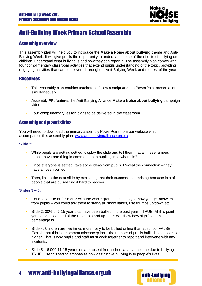

## <span id="page-3-0"></span>Anti-Bullying Week Primary School Assembly

#### Assembly overview

This assembly plan will help you to introduce the **Make a Noise about bullying** theme and Anti-Bullying Week. It will give pupils the opportunity to understand some of the effects of bullying on children, understand what bullying is and how they can report it. The assembly plan comes with four complimentary classroom activities that extend pupils understanding of the topic, providing engaging activities that can be delivered throughout Anti-Bullying Week and the rest of the year.

#### **Resources**

- This Assembly plan enables teachers to follow a script and the PowerPoint presentation simultaneously.
- Assembly PPt features the Anti-Bullying Alliance **Make a Noise about bullying** campaign video.
- Four complimentary lesson plans to be delivered in the classroom.

#### Assembly script and slides

You will need to download the primary assembly PowerPoint from our website which accompanies this assembly plan: [www.anti-bullyingalliance.org.uk](http://www.anti-bullyingalliance.org.uk/)

#### **Slide 2:**

- While pupils are getting settled, display the slide and tell them that all these famous people have one thing in common – can pupils guess what it is?
- **•** Once everyone is settled, take some ideas from pupils. Reveal the connection they have all been bullied.
- Then, link to the next slide by explaining that their success is surprising because lots of people that are bullied find it hard to recover…

#### **Slides 3 – 5:**

- **Conduct a true or false quiz with the whole group. It is up to you how you get answers** from pupils – you could ask them to stand/sit, show hands, use thumbs up/down etc.
- Slide 3: 30% of 6-15 year olds have been bullied in the past year TRUE. At this point you could ask a third of the room to stand up – this will show how significant this percentage is.
- **Slide 4: Children are five times more likely to be bullied online than at school FALSE.** Explain that this is a common misconception – the number of pupils bullied in school is far higher. That is why pupils and staff must work together to report and intervene with any incidents.
- Slide 5: 16,000 11-15 year olds are absent from school at any one time due to bullying TRUE. Use this fact to emphasise how destructive bullying is to people's lives.

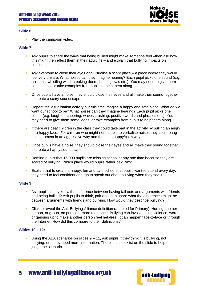

#### **Slide 6:**

• Play the campaign video.

#### **Slide 7:**

- Ask pupils to share the ways that being bullied might make someone feel –then ask how this might then effect them in their adult life – and explain that bullying impacts on confidence, self esteem.
- **Ask everyone to close their eyes and visualise a scary place a place where they would** feel very unsafe. What noises can they imagine hearing? Each pupil picks one sound (e.g. screams, whistling wind, creaking doors, hooting owls etc.). You may need to give them some ideas, or take examples from pupils to help them along.
- **•** Once pupils have a noise, they should close their eyes and all make their sound together to create a scary soundscape.
- **Repeat the visualisation activity but this time imagine a happy and safe place. What do we** want our school to be? What noises can they imagine hearing? Each pupil picks one sound (e.g. laughter, cheering, waves crashing, positive words and phrases etc.). You may need to give them some ideas, or take examples from pupils to help them along.
- If there are deaf children in the class they could take part in the activity by pulling an angry or a happy face. For children who might not be able to verbalise noises they could bang an instrument in an aggressive way and then in a happy/calm way.
- **•** Once pupils have a noise, they should close their eyes and all make their sound together to create a happy soundscape.
- Remind pupils that 16,000 pupils are missing school at any one time because they are scared of bullying. Which place would pupils rather be? Why?
- **Explain that to create a happy, fun and safe school that pupils want to attend every day,** they need to feel confident enough to speak out about bullying when they see it.

#### **Slide 9:**

- Ask pupils if they know the difference between having fall outs and arguments with friends and being bullied? Ask pupils to think, pair and then share what the differences might be between arguments with friends and bullying. How would they describe bullying?
- Click to reveal the Anti-Bullying Alliance definition (adapted for Primary): Hurting another person, or group, on purpose, more than once. Bullying can involve using violence, words or ganging up to make another person feel helpless. It can happen face-to-face or through the Internet. How did this compare to their definitions?

#### **Slides 10 – 12:**

Using the ABA scenarios on slides  $9 - 11$ , ask pupils if they think it is bullying, not bullying, or if they need more information. There is a checklist on the slide to help them judge the scenario.



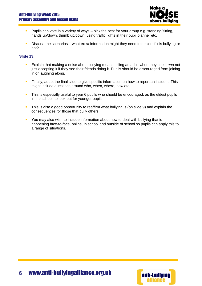#### Anti-Bullying Week 2015 Primary assembly and lesson plans



- **Pupils can vote in a variety of ways pick the best for your group e.g. standing/sitting,** hands up/down, thumb up/down, using traffic lights in their pupil planner etc.
- **Discuss the scenarios what extra information might they need to decide if it is bullying or** not?

#### **Slide 13:**

- Explain that making a noise about bullying means telling an adult when they see it *and* not just accepting it if they see their friends doing it. Pupils should be discouraged from joining in or laughing along.
- **Finally, adapt the final slide to give specific information on how to report an incident. This** might include questions around who, when, where, how etc.
- This is especially useful to year 6 pupils who should be encouraged, as the eldest pupils in the school, to look out for younger pupils.
- This is also a good opportunity to reaffirm what bullying is (on slide 9) and explain the consequences for those that bully others.
- You may also wish to include information about how to deal with bullying that is happening face-to-face, online, in school and outside of school so pupils can apply this to a range of situations.

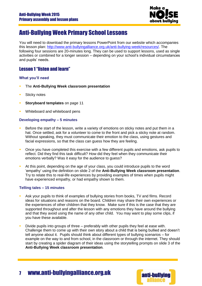

## <span id="page-6-0"></span>Anti-Bullying Week Primary School Lessons

You will need to download the primary lessons PowerPoint from our website which accompanies this lesson plan: [http://www.anti-bullyingalliance.org.uk/anti-bullying-week/resources/.](http://www.anti-bullyingalliance.org.uk/anti-bullying-week/resources/) The following four sessions are 20-minutes long. They can be used to support lessons, used as single activities or combined for a longer session – depending on your school's individual circumstances and pupils' needs.

#### Lesson 1 "listen and learn"

#### **What you'll need**

- The **Anti-Bullying Week classroom presentation**
- **Sticky notes**
- **Storyboard templates** on page 11
- Whiteboard and whiteboard pens

#### **Developing empathy – 5 minutes**

- Before the start of the lesson, write a variety of emotions on sticky notes and put them in a hat. Once settled, ask for a volunteer to come to the front and pick a sticky note at random. Without speaking, they must communicate their emotion to the class, using gestures and facial expressions, so that the class can guess how they are feeling.
- Once you have completed this exercise with a few different pupils and emotions, ask pupils to reflect. Did they find this task difficult? How did they feel when they communicate their emotions verbally? Was it easy for the audience to guess?
- At this point, depending on the age of your class, you could introduce pupils to the word 'empathy' using the definition on slide 2 of the **Anti-Bullying Week classroom presentation**. Try to relate this to real-life experiences by providing examples of times when pupils might have experienced empathy, or had empathy shown to them.

#### **Telling tales – 15 minutes**

- Ask your pupils to think of examples of bullying stories from books, TV and films. Record ideas for situations and reasons on the board. Children may share their own experiences or the experiences of other children that they know. Make sure if this is the case that they are supported throughout and after the lesson with any emotions they have around the bullying and that they avoid using the name of any other child. You may want to play some clips, if you have these available.
- Divide pupils into groups of three preferably with other pupils they feel at ease with. Challenge them to come up with their own story about a child that is being bullied and doesn't tell anyone about it. Pupils should think about different types of bullying scenarios – for example on the way to and from school, in the classroom or through the internet. They should start by creating a spider diagram of their ideas using the storytelling prompts on slide 3 of the **Anti-Bullying Week classroom presentation**.

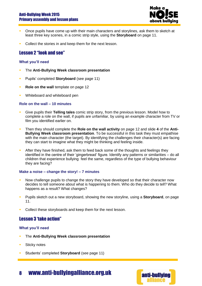#### Anti-Bullying Week 2015 Primary assembly and lesson plans



- **Once pupils have come up with their main characters and storylines, ask them to sketch at** least three key scenes, in a comic strip style, using the **Storyboard** on page 11.
- Collect the stories in and keep them for the next lesson.

#### <span id="page-7-0"></span>Lesson 2 "look and see"

#### **What you'll need**

- The **Anti-Bullying Week classroom presentation**
- **Pupils' completed Storyboard** (see page 11)
- **Role on the wall** template on page 12
- Whiteboard and whiteboard pen

#### **Role on the wall – 10 minutes**

- Give pupils their **Telling tales** comic strip story, from the previous lesson. Model how to complete a role on the wall, if pupils are unfamiliar, by using an example character from TV or film you identified earlier on.
- Then they should complete the **Role on the wall activity** on page 12 and slide **4** of the **Anti-Bullying Week classroom presentation**. To be successful in this task they must empathise with the main character (the target). By identifying the challenges their character(s) are facing they can start to imagine what they might be thinking and feeling inside.
- After they have finished, ask them to feed back some of the thoughts and feelings they identified in the centre of their 'gingerbread' figure. Identify any patterns or similarities – do all children that experience bullying feel the same, regardless of the type of bullying behaviour they are facing?

#### **Make a noise – change the story! – 7 minutes**

- Now challenge pupils to change the story they have developed so that their character now decides to tell someone about what is happening to them. Who do they decide to tell? What happens as a result? What changes?
- **Pupils sketch out a new storyboard, showing the new storyline, using a Storyboard, on page** 11.
- Collect these storyboards and keep them for the next lesson.

#### Lesson 3 'take action"

#### **What you'll need**

- The **Anti-Bullying Week classroom presentation**
- **Sticky notes**
- Students' completed **Storyboard** (see page 11)

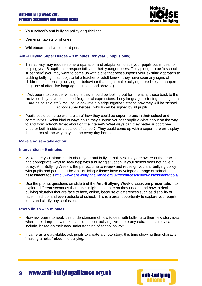#### Anti-Bullying Week 2015 Primary assembly and lesson plans



- **Your school's anti-bullying policy or guidelines**
- **Cameras, tablets or phones**
- Whiteboard and whiteboard pens

#### **Anti-Bullying Super Heroes – 3 minutes (for year 6 pupils only)**

- This activity may require some preparation and adaptation to suit your pupils but is ideal for helping year 6 pupils take responsibility for their younger peers. They pledge to be 'a school super hero' (you may want to come up with a title that best supports your existing approach to tackling bullying in school), to let a teacher or adult know if they have seen any signs of children experiencing bullying, or behaviour that might make bullying more likely to happen (e.g. use of offensive language, pushing and shoving).
- Ask pupils to consider what signs they should be looking out for relating these back to the activities they have completed (e.g. facial expressions, body language, listening to things that are being said etc.). You could co-write a pledge together, stating how they will be 'school school super heroes', which can be signed by all pupils.
- Pupils could come up with a plan of how they could be super heroes in their school and communities. What kind of ways could they support younger pupils? What about on the way to and from school? What about on the internet? What ways can they better support one another both inside and outside of school? They could come up with a super hero art display that shares all the way they can be every day heroes.

#### **Make a noise – take action!**

#### **Intervention – 5 minutes**

- Make sure you inform pupils about your anti-bullying policy so they are aware of the practical and appropriate ways to seek help with a bullying situation. If your school does not have a policy, Anti-Bullying Week is the perfect time to review and redesign you anti-bullying policy with pupils and parents. The Anti-Bullying Alliance have developed a range of school assessment tools <http://www.anti-bullyingalliance.org.uk/resources/school-assessment-tools/> .
- Use the prompt questions on slide 5 of the **Anti-Bullying Week classroom presentation** to explore different scenarios that pupils might encounter so they understand how to deal bullying situation that are face to face, online, because of differences such as disability or race, in school and even outside of school. This is a great opportunity to explore your pupils' fears and clarify any confusion.

#### **Photo finish – 15 minutes**

- Now ask pupils to apply this understanding of how to deal with bullying to their new story idea, where their target now makes a noise about bullying. Are there any extra details they can include, based on their new understanding of school policy?
- If cameras are available, ask pupils to create a photo-story, this time showing their character "making a noise" about the bullying.

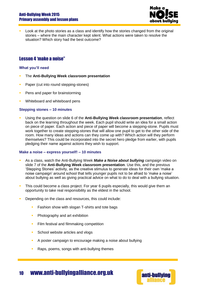

 Look at the photo stories as a class and identify how the stories changed from the original stories – where the main character kept silent. What actions were taken to resolve the situation? Which story had the best outcome?

#### <span id="page-9-0"></span>Lesson 4 'make a noise"

#### **What you'll need**

- The **Anti-Bullying Week classroom presentation**
- **Paper (cut into round stepping-stones)**
- **Pens and paper for brainstorming**
- **Whiteboard and whiteboard pens**

#### **Stepping stones – 10 minutes**

 Using the question on slide 6 of the **Anti-Bullying Week classroom presentation**, reflect back on the learning throughout the week. Each pupil should write an idea for a small action on piece of paper. Each action and piece of paper will become a stepping-stone. Pupils must work together to create stepping-stones that will allow one pupil to get to the other side of the room. How many ideas and actions can they come up with? Which action will they perform themselves? This could be incorporated into the secret hero pledge from earlier, with pupils pledging their name against actions they wish to support.

#### **Make a noise – express yourself! – 10 minutes**

- As a class, watch the Anti-Bullying Week *Make a Noise about bullying* campaign video on slide 7 of the **Anti-Bullying Week classroom presentation**. Use this, and the previous 'Stepping Stones' activity, as the creative stimulus to generate ideas for their own 'make a noise campaign' around school that tells younger pupils not to be afraid to 'make a noise' about bullying as well as giving practical advice on what to do to deal with a bullying situation.
- This could become a class project. For year 6 pupils especially, this would give them an opportunity to take real responsibility as the eldest in the school.
- Depending on the class and resources, this could include:
	- Fashion show with slogan T-shirts and tote bags
	- **Photography and art exhibition**
	- **Film festival and filmmaking competition**
	- School website articles and vlogs
	- A poster campaign to encourage making a noise about bullying
	- Raps, poems, songs with anti-bullying themes

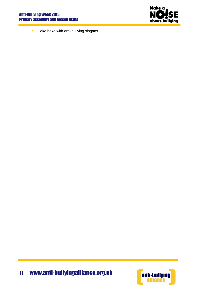

**Cake bake with anti-bullying slogans** 

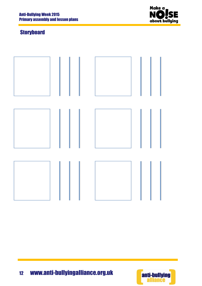

## <span id="page-11-0"></span>**Storyboard**